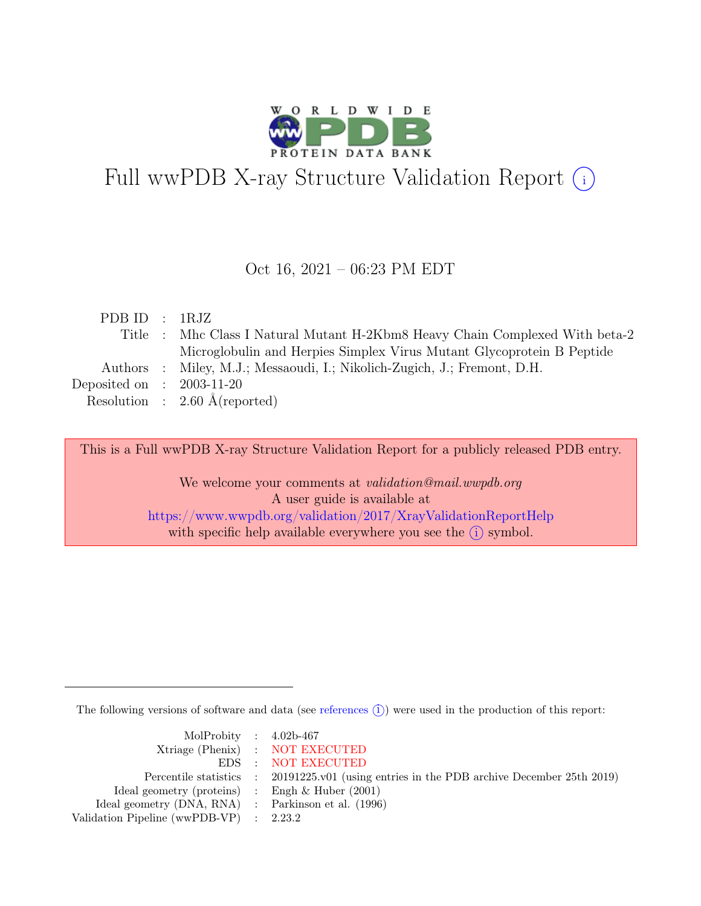

# Full wwPDB X-ray Structure Validation Report  $(i)$

#### Oct 16, 2021 – 06:23 PM EDT

| PDBID : 1RJZ                |                                                                              |
|-----------------------------|------------------------------------------------------------------------------|
|                             | Title : Mhc Class I Natural Mutant H-2Kbm8 Heavy Chain Complexed With beta-2 |
|                             | Microglobulin and Herpies Simplex Virus Mutant Glycoprotein B Peptide        |
|                             | Authors : Miley, M.J.; Messaoudi, I.; Nikolich-Zugich, J.; Fremont, D.H.     |
| Deposited on : $2003-11-20$ |                                                                              |
|                             | Resolution : $2.60 \text{ Å}$ (reported)                                     |
|                             |                                                                              |

This is a Full wwPDB X-ray Structure Validation Report for a publicly released PDB entry.

We welcome your comments at *validation@mail.wwpdb.org* A user guide is available at <https://www.wwpdb.org/validation/2017/XrayValidationReportHelp> with specific help available everywhere you see the  $(i)$  symbol.

The following versions of software and data (see [references](https://www.wwpdb.org/validation/2017/XrayValidationReportHelp#references)  $(i)$ ) were used in the production of this report:

| MolProbity : $4.02b-467$                            |                                                                                            |
|-----------------------------------------------------|--------------------------------------------------------------------------------------------|
|                                                     | Xtriage (Phenix) : NOT EXECUTED                                                            |
|                                                     | EDS : NOT EXECUTED                                                                         |
|                                                     | Percentile statistics : 20191225.v01 (using entries in the PDB archive December 25th 2019) |
| Ideal geometry (proteins) : Engh $\&$ Huber (2001)  |                                                                                            |
| Ideal geometry (DNA, RNA) : Parkinson et al. (1996) |                                                                                            |
| Validation Pipeline (wwPDB-VP) : 2.23.2             |                                                                                            |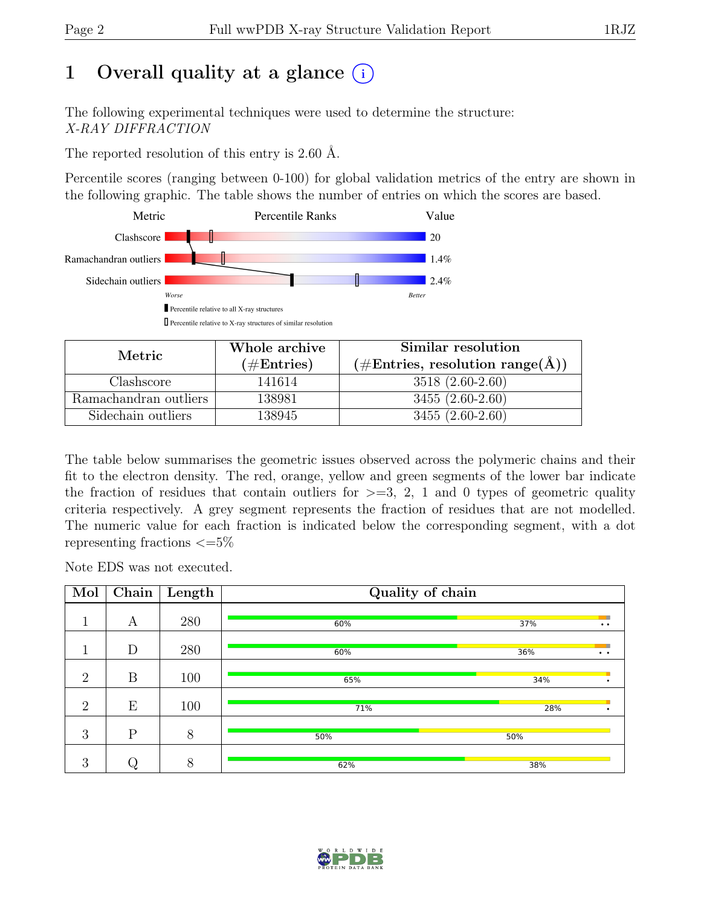# 1 Overall quality at a glance  $(i)$

The following experimental techniques were used to determine the structure: X-RAY DIFFRACTION

The reported resolution of this entry is 2.60 Å.

Percentile scores (ranging between 0-100) for global validation metrics of the entry are shown in the following graphic. The table shows the number of entries on which the scores are based.



| Metric                | Whole archive        | Similar resolution                                        |  |  |
|-----------------------|----------------------|-----------------------------------------------------------|--|--|
|                       | $(\#\text{Entries})$ | $(\# \text{Entries}, \text{ resolution range}(\text{A}))$ |  |  |
| Clashscore            | 141614               | $3518(2.60-2.60)$                                         |  |  |
| Ramachandran outliers | 138981               | $3455(2.60-2.60)$                                         |  |  |
| Sidechain outliers    | 138945               | $3455(2.60-2.60)$                                         |  |  |

The table below summarises the geometric issues observed across the polymeric chains and their fit to the electron density. The red, orange, yellow and green segments of the lower bar indicate the fraction of residues that contain outliers for  $\geq$ =3, 2, 1 and 0 types of geometric quality criteria respectively. A grey segment represents the fraction of residues that are not modelled. The numeric value for each fraction is indicated below the corresponding segment, with a dot representing fractions  $\epsilon = 5\%$ 

Note EDS was not executed.

| Mol            | Chain        | $\vert$ Length | Quality of chain |     |                 |  |  |  |
|----------------|--------------|----------------|------------------|-----|-----------------|--|--|--|
|                | А            | 280            | 60%              | 37% | $\cdot$ $\cdot$ |  |  |  |
|                | D            | 280            | 60%              | 36% | $\cdot$ $\cdot$ |  |  |  |
| $\overline{2}$ | B            | 100            | 65%              | 34% |                 |  |  |  |
| $\overline{2}$ | E            | 100            | 71%              | 28% |                 |  |  |  |
| 3              | $\mathbf{P}$ | 8              | 50%              | 50% |                 |  |  |  |
| 3              |              | 8              | 62%              | 38% |                 |  |  |  |

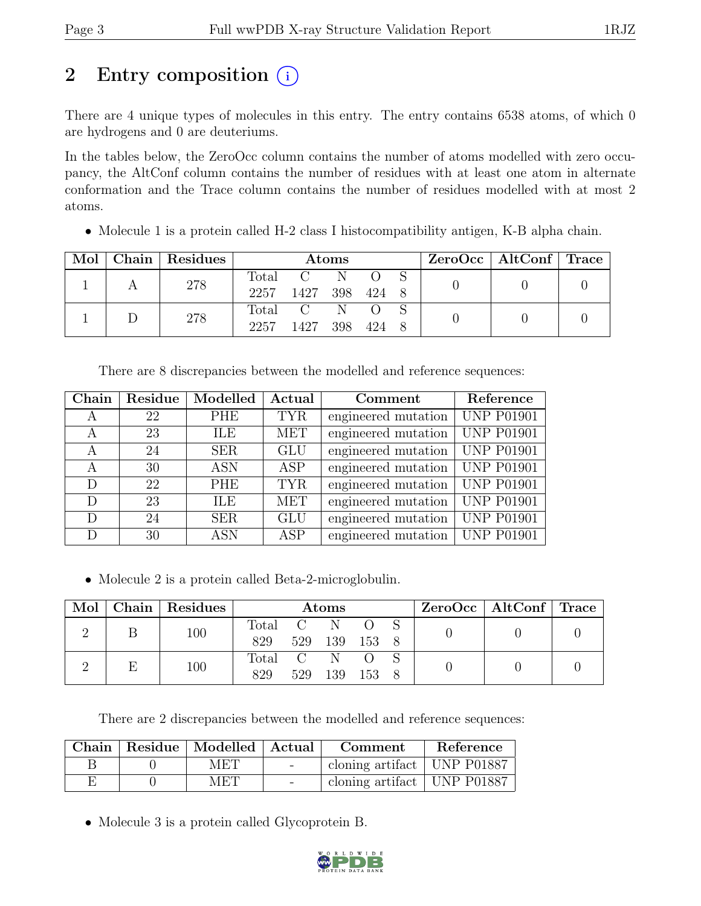# 2 Entry composition  $(i)$

There are 4 unique types of molecules in this entry. The entry contains 6538 atoms, of which 0 are hydrogens and 0 are deuteriums.

In the tables below, the ZeroOcc column contains the number of atoms modelled with zero occupancy, the AltConf column contains the number of residues with at least one atom in alternate conformation and the Trace column contains the number of residues modelled with at most 2 atoms.

|  |     | Mol   Chain   Residues | <b>Atoms</b>   |           |       |  |  | ZeroOcc   AltConf   Trace |  |
|--|-----|------------------------|----------------|-----------|-------|--|--|---------------------------|--|
|  |     |                        | Total          | $C = N$   |       |  |  |                           |  |
|  | 278 | 2257                   | 1427 398 424 8 |           |       |  |  |                           |  |
|  |     |                        |                | Total C N |       |  |  |                           |  |
|  | 278 | 2257                   | 1427           | 398       | 424 8 |  |  |                           |  |

• Molecule 1 is a protein called H-2 class I histocompatibility antigen, K-B alpha chain.

There are 8 discrepancies between the modelled and reference sequences:

| Chain | Residue | Modelled   | Actual     | Comment             | Reference                      |
|-------|---------|------------|------------|---------------------|--------------------------------|
| A     | 22      | PHE        | <b>TYR</b> | engineered mutation | <b>UNP P01901</b>              |
| A     | 23      | ILE        | <b>MET</b> | engineered mutation | <b>UNP P01901</b>              |
| A     | 24      | <b>SER</b> | <b>GLU</b> | engineered mutation | $\overline{\text{UNP}}$ P01901 |
| А     | 30      | <b>ASN</b> | ASP        | engineered mutation | $\overline{UNP}$ P01901        |
| D     | 22      | <b>PHE</b> | <b>TYR</b> | engineered mutation | <b>UNP P01901</b>              |
| D     | 23      | ILE        | <b>MET</b> | engineered mutation | <b>UNP P01901</b>              |
| D     | 24      | <b>SER</b> | <b>GLU</b> | engineered mutation | <b>UNP P01901</b>              |
| D     | 30      | <b>ASN</b> | <b>ASP</b> | engineered mutation | <b>UNP P01901</b>              |

• Molecule 2 is a protein called Beta-2-microglobulin.

| Mol |     | Chain   Residues | Atoms   |     |       |       |  |  | $ZeroOcc \mid AltConf \mid Trace$ |  |
|-----|-----|------------------|---------|-----|-------|-------|--|--|-----------------------------------|--|
|     | 100 | Total            |         |     |       |       |  |  |                                   |  |
|     |     | 829              | 529     | 139 | 153 8 |       |  |  |                                   |  |
|     |     | 100              | Total C |     |       |       |  |  |                                   |  |
|     |     |                  | 829     | 529 | 139   | - 153 |  |  |                                   |  |

There are 2 discrepancies between the modelled and reference sequences:

|  | Chain   Residue   Modelled   Actual |                          | Comment                       | Reference |
|--|-------------------------------------|--------------------------|-------------------------------|-----------|
|  | MET                                 | <b>Contract Contract</b> | cloning artifact   UNP P01887 |           |
|  | MET                                 | $\sim$                   | cloning artifact   UNP P01887 |           |

• Molecule 3 is a protein called Glycoprotein B.

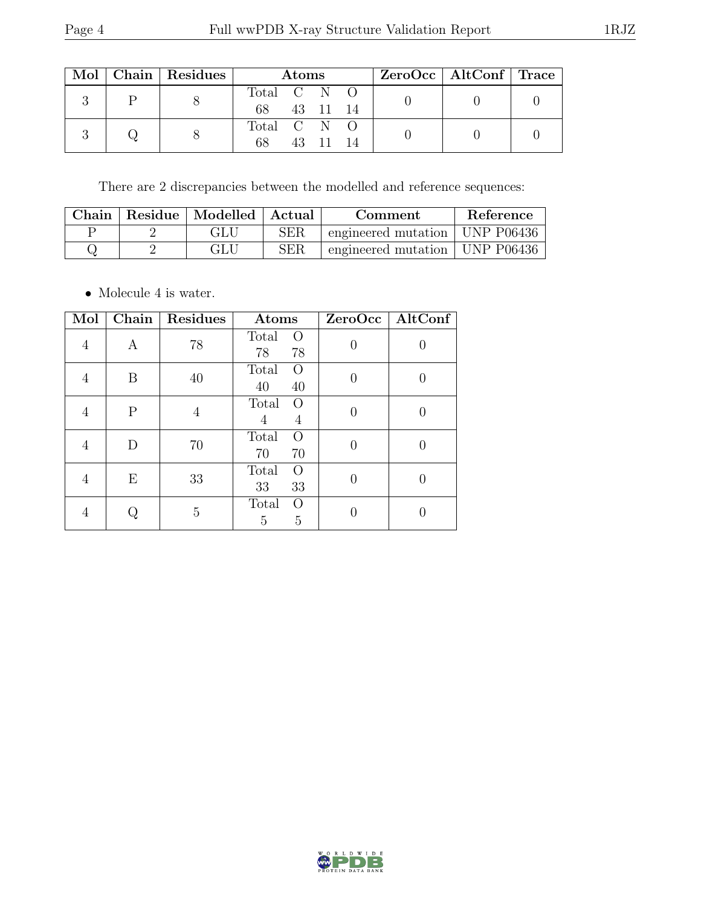| × |
|---|
|---|

|  |  | Mol   Chain   Residues | <b>Atoms</b> |  |  |  |  | $ZeroOcc \mid AltConf \mid Trace$ |  |
|--|--|------------------------|--------------|--|--|--|--|-----------------------------------|--|
|  |  | Total C N O            |              |  |  |  |  |                                   |  |
|  |  | 68                     | 43 11 14     |  |  |  |  |                                   |  |
|  |  |                        | Total C N O  |  |  |  |  |                                   |  |
|  |  |                        | 68           |  |  |  |  |                                   |  |

There are 2 discrepancies between the modelled and reference sequences:

|  | Chain   Residue   Modelled   Actual |            | Comment                          | Reference |
|--|-------------------------------------|------------|----------------------------------|-----------|
|  |                                     | <b>SER</b> | engineered mutation   UNP P06436 |           |
|  |                                     | SER        | engineered mutation   UNP P06436 |           |

 $\bullet\,$  Molecule 4 is water.

| Mol | Chain | Residues | Atoms                                    | ZeroOcc | AltConf |
|-----|-------|----------|------------------------------------------|---------|---------|
| 4   | А     | 78       | Total<br>O<br>78<br>78                   |         |         |
| 4   | B     | 40       | Total<br>$\left( \right)$<br>40<br>40    |         |         |
| 4   | Ρ     | 4        | Total<br>$\left( \right)$<br>4<br>4      |         |         |
| 4   | D     | 70       | Total<br>O<br>70<br>70                   |         |         |
| 4   | Ε     | 33       | Total<br>$\left( \right)$<br>33<br>33    |         |         |
|     |       | 5        | Total<br>$\Omega$<br>$\overline{5}$<br>5 |         |         |

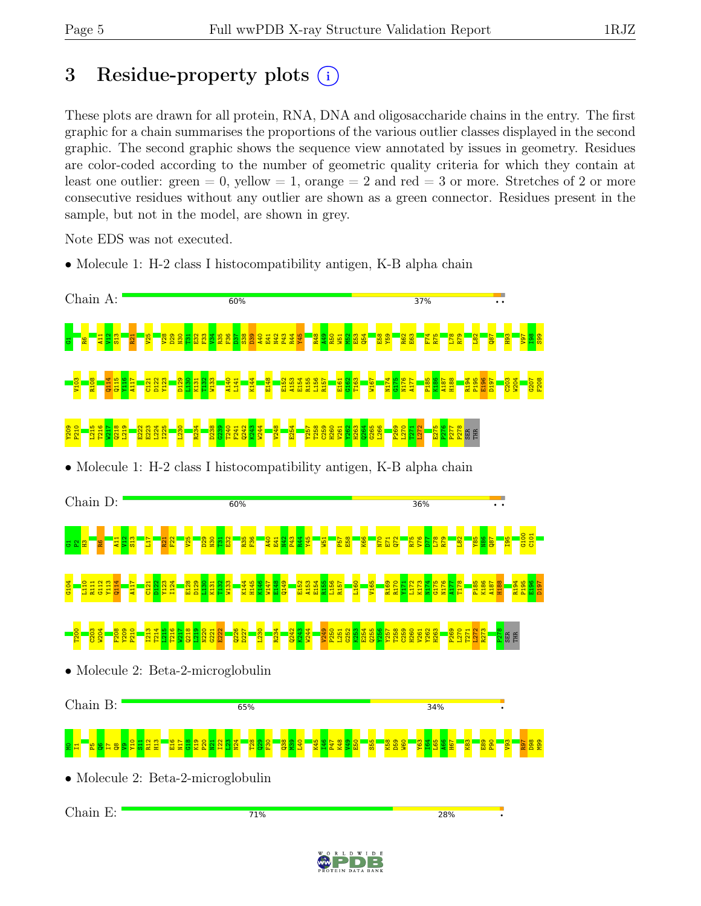# 3 Residue-property plots  $(i)$

These plots are drawn for all protein, RNA, DNA and oligosaccharide chains in the entry. The first graphic for a chain summarises the proportions of the various outlier classes displayed in the second graphic. The second graphic shows the sequence view annotated by issues in geometry. Residues are color-coded according to the number of geometric quality criteria for which they contain at least one outlier: green  $= 0$ , yellow  $= 1$ , orange  $= 2$  and red  $= 3$  or more. Stretches of 2 or more consecutive residues without any outlier are shown as a green connector. Residues present in the sample, but not in the model, are shown in grey.

Note EDS was not executed.

• Molecule 1: H-2 class I histocompatibility antigen, K-B alpha chain



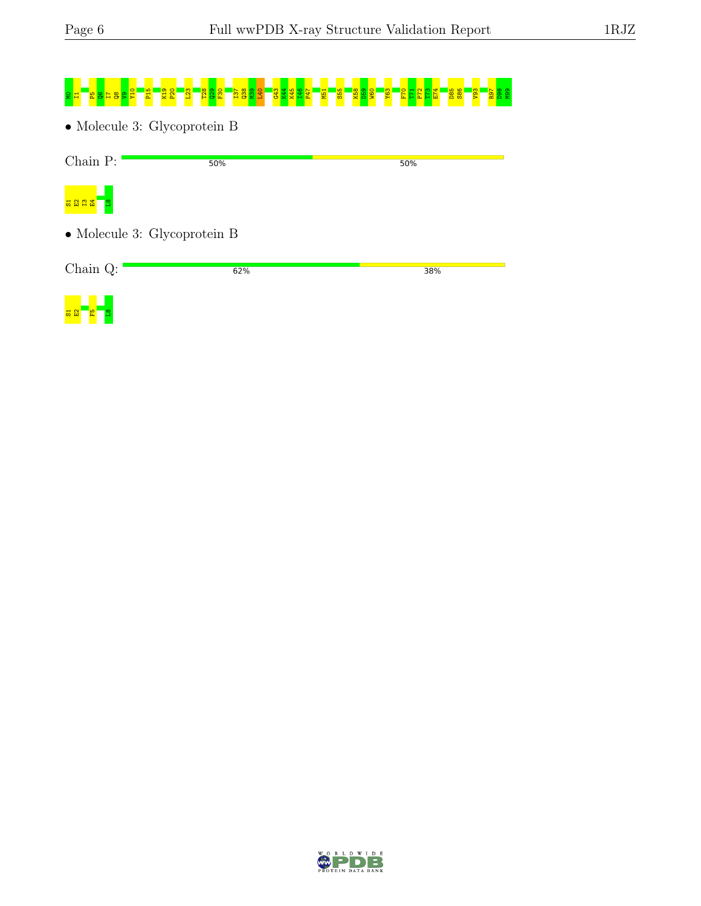52 E 3

D W I D E

# 8 T R81 S29 C1 T 92 T2 T38 M30 L53 G58 T37 T37 T4 T46 P58 S58 P59 T21 L52 E15 T21 T23 E75 E75 E75 E75 S86 P30

• Molecule 3: Glycoprotein B

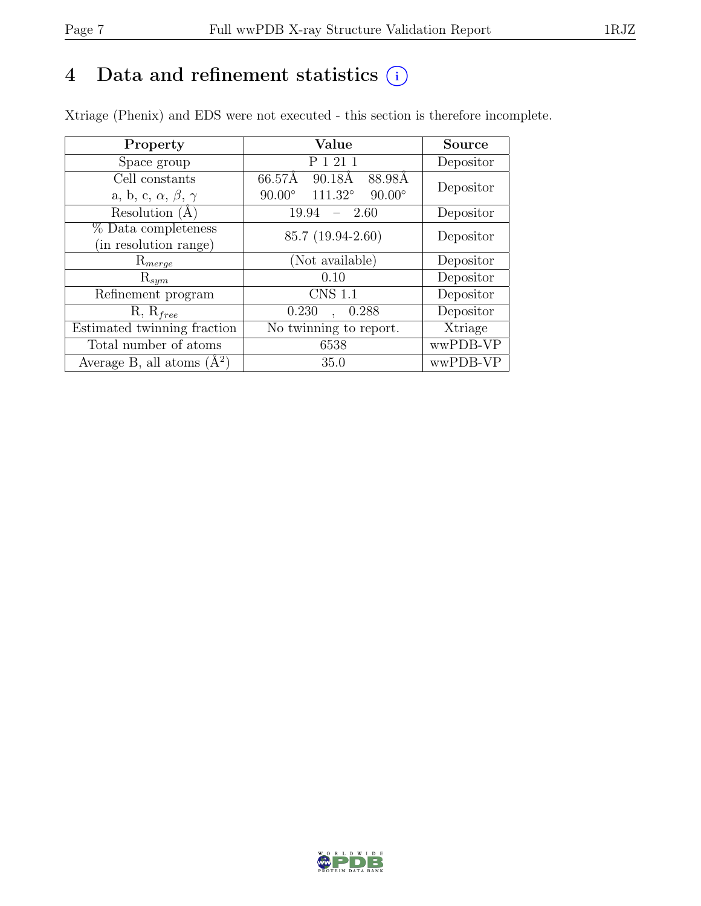# 4 Data and refinement statistics  $(i)$

Xtriage (Phenix) and EDS were not executed - this section is therefore incomplete.

| Property                               | Value                                            | <b>Source</b> |  |
|----------------------------------------|--------------------------------------------------|---------------|--|
| Space group                            | P 1 21 1                                         | Depositor     |  |
| Cell constants                         | 66.57Å<br>88.98Å<br>90.18Å                       | Depositor     |  |
| a, b, c, $\alpha$ , $\beta$ , $\gamma$ | $111.32^\circ$<br>$90.00^\circ$<br>$90.00^\circ$ |               |  |
| Resolution (A                          | 19.94<br>$-2.60$                                 | Depositor     |  |
| % Data completeness                    | 85.7 (19.94-2.60)                                | Depositor     |  |
| (in resolution range)                  |                                                  |               |  |
| $\mathrm{R}_{merge}$                   | (Not available)                                  | Depositor     |  |
| $\mathrm{R}_{sym}$                     | 0.10                                             | Depositor     |  |
| Refinement program                     | <b>CNS 1.1</b>                                   | Depositor     |  |
| $R, R_{free}$                          | 0.288<br>0.230                                   | Depositor     |  |
| Estimated twinning fraction            | No twinning to report.                           | Xtriage       |  |
| Total number of atoms                  | 6538                                             | wwPDB-VP      |  |
| Average B, all atoms $(A^2)$           | 35.0                                             | wwPDB-VP      |  |

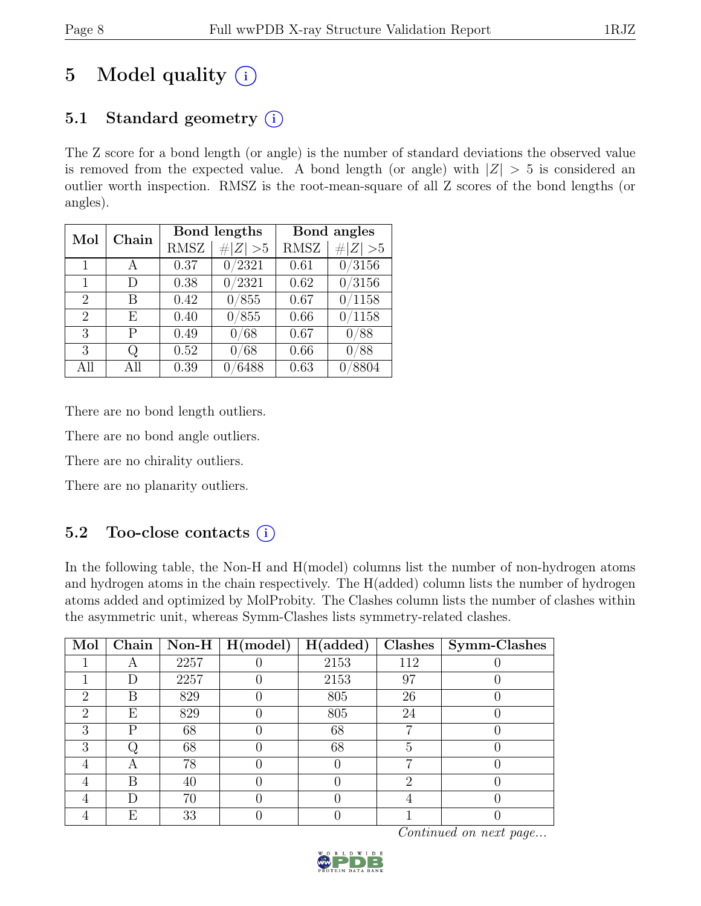# 5 Model quality  $(i)$

# 5.1 Standard geometry  $(i)$

The Z score for a bond length (or angle) is the number of standard deviations the observed value is removed from the expected value. A bond length (or angle) with  $|Z| > 5$  is considered an outlier worth inspection. RMSZ is the root-mean-square of all Z scores of the bond lengths (or angles).

| Mol                         | Chain | Bond lengths |         | Bond angles |                     |
|-----------------------------|-------|--------------|---------|-------------|---------------------|
|                             |       | <b>RMSZ</b>  | Z   > 5 | <b>RMSZ</b> | Z   > 5             |
| 1                           |       | 0.37         | 0/2321  | 0.61        | $\overline{0/3}156$ |
| 1                           | D     | 0.38         | 0/2321  | 0.62        | 0/3156              |
| $\overline{2}$              | В     | 0.42         | 0/855   | 0.67        | 0/1158              |
| $\mathcal{D}_{\mathcal{L}}$ | E     | 0.40         | 0/855   | 0.66        | 0/1158              |
| 3                           | Р     | 0.49         | 0/68    | 0.67        | /88                 |
| 3                           | Q     | 0.52         | 0/68    | 0.66        | /88                 |
| All                         | All   | 0.39         | 6488    | 0.63        | /8804               |

There are no bond length outliers.

There are no bond angle outliers.

There are no chirality outliers.

There are no planarity outliers.

# 5.2 Too-close contacts  $(i)$

In the following table, the Non-H and H(model) columns list the number of non-hydrogen atoms and hydrogen atoms in the chain respectively. The H(added) column lists the number of hydrogen atoms added and optimized by MolProbity. The Clashes column lists the number of clashes within the asymmetric unit, whereas Symm-Clashes lists symmetry-related clashes.

| Mol                         | Chain |      | $\sqrt{\text{Non-H} \mid \text{H}(\text{model})}$ | H(added) |     | $Clashes$   Symm-Clashes |
|-----------------------------|-------|------|---------------------------------------------------|----------|-----|--------------------------|
|                             | A     | 2257 |                                                   | 2153     | 112 |                          |
|                             |       | 2257 |                                                   | 2153     | 97  |                          |
| $\mathcal{D}_{\mathcal{A}}$ | В     | 829  |                                                   | 805      | 26  |                          |
| $\mathcal{D}_{\mathcal{L}}$ | Ε     | 829  |                                                   | 805      | 24  |                          |
| 3                           | P     | 68   |                                                   | 68       | −   |                          |
| 3                           |       | 68   |                                                   | 68       | 5   |                          |
|                             | Α     | 78   |                                                   |          | −   |                          |
|                             | В     | 40   |                                                   |          | റ   |                          |
|                             |       | 70   |                                                   |          |     |                          |
|                             | E     | 33   |                                                   |          |     |                          |

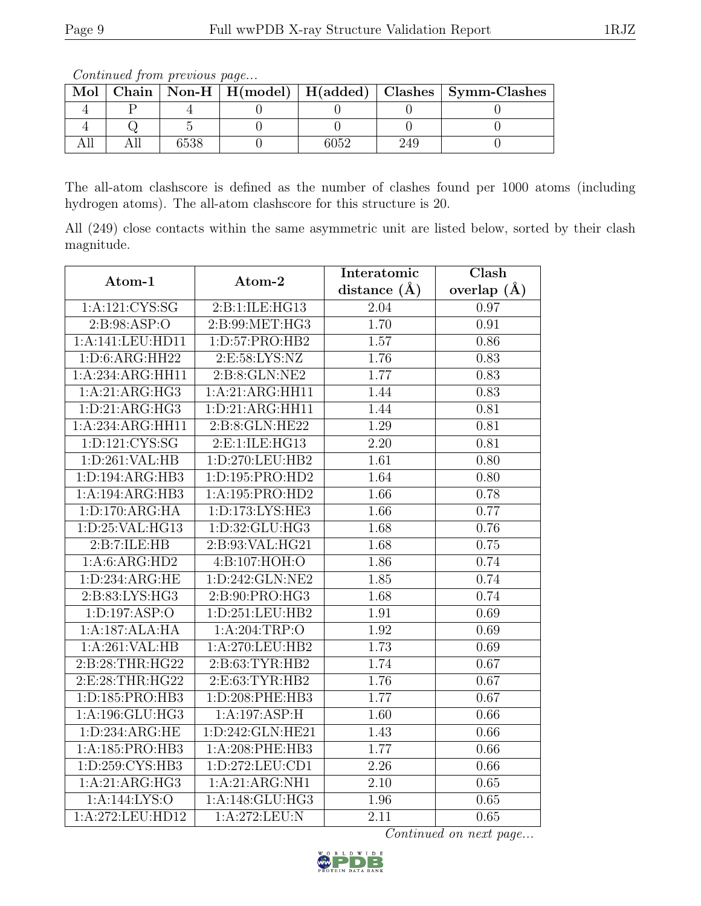| Mol |  |  |  |  |  | Chain   Non-H   H(model)   H(added)   Clashes   Symm-Clashes |  |
|-----|--|--|--|--|--|--------------------------------------------------------------|--|
|     |  |  |  |  |  |                                                              |  |
|     |  |  |  |  |  |                                                              |  |
|     |  |  |  |  |  |                                                              |  |

Continued from previous page...

The all-atom clashscore is defined as the number of clashes found per 1000 atoms (including hydrogen atoms). The all-atom clashscore for this structure is 20.

All (249) close contacts within the same asymmetric unit are listed below, sorted by their clash magnitude.

| Atom-1                        | Atom-2              | Interatomic       | $\overline{\text{Clash}}$ |  |
|-------------------------------|---------------------|-------------------|---------------------------|--|
|                               |                     | distance $(A)$    | overlap $(\AA)$           |  |
| 1: A:121:CYS:SG               | 2:B:1:ILE:HG13      | 2.04              | 0.97                      |  |
| 2: B: 98: ASP: O              | 2:B:99:MET:HG3      | 1.70              | 0.91                      |  |
| 1:A:141:LEU:HD11              | 1:D:57:PRO:HB2      | 1.57              | 0.86                      |  |
| 1:D:6:ARG:HH22                | 2:E:58:LYS:NZ       | 1.76              | 0.83                      |  |
| 1:A:234:ARG:HH11              | 2:B:8:GLN:NE2       | 1.77              | 0.83                      |  |
| 1:A:21:ARG:HG3                | 1:A:21:ARG:HH11     | 1.44              | 0.83                      |  |
| 1: D: 21: ARG: HG3            | 1:D:21:ARG:HH11     | 1.44              | 0.81                      |  |
| 1:A:234:ARG:HH11              | 2:B:8:GLN:HE22      | 1.29              | 0.81                      |  |
| 1:D:121:CYS:SG                | 2: E: 1: ILE: HG13  | $\overline{2.20}$ | 0.81                      |  |
| 1: D:261: VAL:HB              | 1:D:270:LEU:HB2     | 1.61              | 0.80                      |  |
| 1:D:194:ARG:HB3               | 1:D:195:PRO:HD2     | 1.64              | 0.80                      |  |
| 1:A:194:ARG:HB3               | 1:A:195:PRO:HD2     | 1.66              | 0.78                      |  |
| 1: D: 170: ARG: HA            | 1: D: 173: LYS: HE3 | 1.66              | 0.77                      |  |
| 1:D:25:VAL:HG13               | 1: D: 32: GLU: HG3  | 1.68              | 0.76                      |  |
| 2:B:7:ILE:HB                  | 2:B:93:VAL:HG21     | 1.68              | 0.75                      |  |
| 1:A:6:ARG:HD2                 | 4:B:107:HOH:O       | 1.86              | 0.74                      |  |
| 1: D: 234: ARG: HE            | 1: D: 242: GLN: NE2 | 1.85              | 0.74                      |  |
| $2: B:83: LY\overline{S:HG3}$ | 2:B:90:PRO:HG3      | 1.68              | 0.74                      |  |
| 1:D:197:ASP:O                 | 1:D:251:LEU:HB2     | 1.91              | 0.69                      |  |
| 1:A:187:ALA:HA                | 1:A:204:TRP:O       | 1.92              | 0.69                      |  |
| 1:A:261:VAL:HB                | 1: A:270:LEU:HB2    | 1.73              | 0.69                      |  |
| 2:B:28:THR:HG22               | 2:B:63:TYR:HB2      | 1.74              | 0.67                      |  |
| 2:E:28:THR:HG22               | 2: E: 63: TYR: HB2  | 1.76              | 0.67                      |  |
| 1:D:185:PRO:HB3               | 1:D:208:PHE:HB3     | 1.77              | 0.67                      |  |
| 1:A:196:GLU:HG3               | 1:A:197:ASP:H       | 1.60              | 0.66                      |  |
| 1: D: 234: ARG: HE            | 1:D:242:GLN:HE21    | 1.43              | 0.66                      |  |
| 1:A:185:PRO:HB3               | 1:A:208:PHE:HB3     | 1.77              | 0.66                      |  |
| 1:D:259:CYS:HB3               | 1: D: 272: LEU: CD1 | 2.26              | 0.66                      |  |
| 1:A:21:ARG:HG3                | 1:A:21:ARG:NH1      | 2.10              | 0.65                      |  |
| 1:A:144:LYS:O                 | 1:A:148:GLU:HG3     | 1.96              | 0.65                      |  |
| 1:A:272:LEU:HD12              | 1: A:272:LEU:N      | $\overline{2.11}$ | 0.65                      |  |

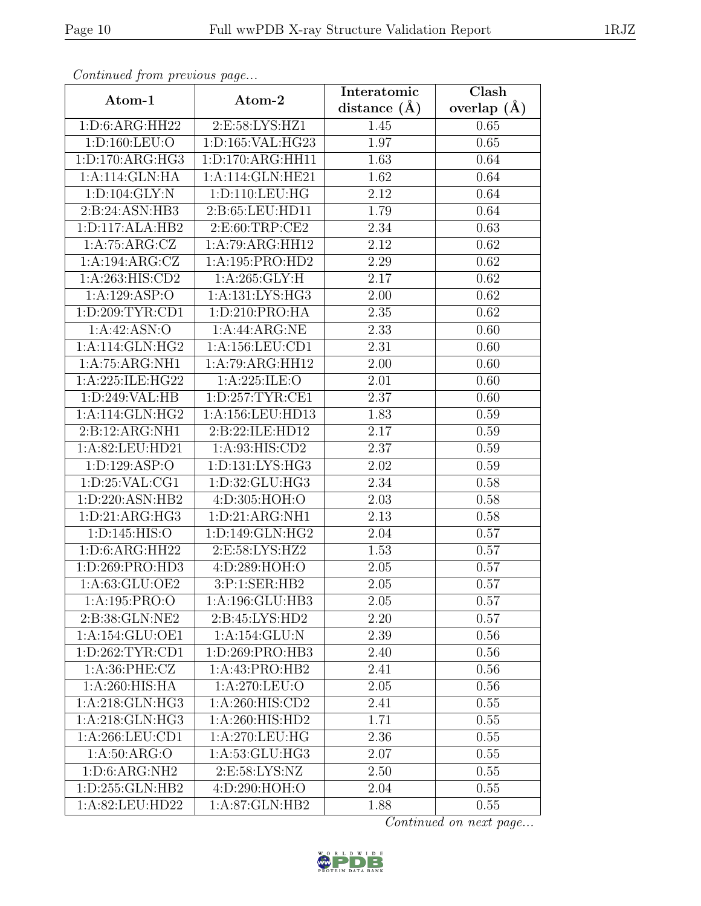| Continuum from protious page<br>Atom-1<br>Atom-2 |                      | Interatomic       | Clash           |
|--------------------------------------------------|----------------------|-------------------|-----------------|
|                                                  |                      | distance $(\AA)$  | overlap $(\AA)$ |
| 1: D:6: ARG: HH22                                | 2:E:58:LYS:HZ1       | 1.45              | 0.65            |
| 1: D: 160: LEU: O                                | 1:D:165:VAL:HG23     | 1.97              | 0.65            |
| 1: D: 170: ARG: HG3                              | 1: D: 170: ARG: HH11 | 1.63              | 0.64            |
| 1:A:114:GLN:HA                                   | 1:A:114:GLN:HE21     | 1.62              | 0.64            |
| 1: D: 104: GLY: N                                | 1: D: 110: LEU: HG   | 2.12              | 0.64            |
| 2:B:24:ASN:HB3                                   | 2:B:65:LEU:HD11      | 1.79              | 0.64            |
| 1:D:117:ALA:HB2                                  | 2:E:60:TRP:CE2       | 2.34              | 0.63            |
| 1:A:75:ARG:CZ                                    | 1:A:79:ARG:HH12      | 2.12              | 0.62            |
| 1:A:194:ARG:CZ                                   | 1:A:195:PRO:HD2      | 2.29              | 0.62            |
| 1:A:263:HIS:CD2                                  | 1: A:265: GLY: H     | 2.17              | 0.62            |
| 1:A:129:ASP:O                                    | 1:A:131:LYS:HG3      | 2.00              | 0.62            |
| 1: D:209: TYR: CD1                               | 1: D:210: PRO:HA     | 2.35              | 0.62            |
| 1:A:42:ASN:O                                     | 1:A:44:ARG:NE        | 2.33              | 0.60            |
| $1:A:114:GLN:\overline{HG2}$                     | 1: A: 156: LEU: CD1  | 2.31              | 0.60            |
| 1:A:75:ARG:NH1                                   | 1:A:79:ARG:HH12      | 2.00              | 0.60            |
| 1:A:225:ILE:HG22                                 | 1:A:225:ILE:O        | 2.01              | 0.60            |
| 1:D:249:VAL:HB                                   | 1: D: 257: TYR: CE1  | 2.37              | 0.60            |
| 1: A:114: GLN: HG2                               | 1:A:156:LEU:HD13     | 1.83              | 0.59            |
| 2:B:12:ARG:NH1                                   | 2:B:22:ILE:HD12      | 2.17              | 0.59            |
| 1:A:82:LEU:HD21                                  | 1: A:93: HIS: CD2    | 2.37              | 0.59            |
| 1:D:129:ASP:O                                    | 1:D:131:LYS:HG3      | 2.02              | 0.59            |
| 1: D:25: VAL:CG1                                 | 1:D:32:GLU:HG3       | 2.34              | 0.58            |
| 1:D:220:ASN:HB2                                  | 4:D:305:HOH:O        | 2.03              | 0.58            |
| 1: D:21: ARG:HG3                                 | 1:D:21:ARG:NH1       | $\overline{2.13}$ | 0.58            |
| 1: D: 145: HIS: O                                | 1:D:149:GLN:HG2      | 2.04              | 0.57            |
| 1: D:6: ARG: HH22                                | 2:E:58:LYS:HZ2       | 1.53              | 0.57            |
| 1:D:269:PRO:HD3                                  | 4:D:289:HOH:O        | 2.05              | 0.57            |
| 1:A:63:GLU:OE2                                   | 3:P:1:SER:HB2        | 2.05              | 0.57            |
| 1:A:195:PRO:O                                    | 1:A:196:GLU:HB3      | 2.05              | 0.57            |
| 2:B:38:GLN:NE2                                   | 2:B:45:LYS:HD2       | 2.20              | 0.57            |
| 1:A:154:GLU:OE1                                  | 1:A:154:GLU:N        | 2.39              | 0.56            |
| 1: D:262: TYR: CD1                               | 1: D:269: PRO:HB3    | 2.40              | 0.56            |
| 1: A:36: PHE: CZ                                 | 1:A:43:PRO:HB2       | 2.41              | 0.56            |
| 1:A:260:HIS:HA                                   | 1:A:270:LEU:O        | 2.05              | 0.56            |
| 1: A:218: GLN: HG3                               | 1: A:260: HIS:CD2    | 2.41              | 0.55            |
| 1: A:218: GLN: HG3                               | 1:A:260:HIS:HD2      | 1.71              | 0.55            |
| 1:A:266:LEU:CD1                                  | 1:A:270:LEU:HG       | 2.36              | 0.55            |
| 1: A:50: ARG:O                                   | 1:A:53:GLU:HG3       | 2.07              | 0.55            |
| 1: D:6: ARG:NH2                                  | 2:E:58:LYS:NZ        | 2.50              | 0.55            |
| 1:D:255:GLN:HB2                                  | 4:D:290:HOH:O        | 2.04              | 0.55            |
| 1:A:82:LEU:HD22                                  | 1:A:87:GLN:HB2       | 1.88              | 0.55            |

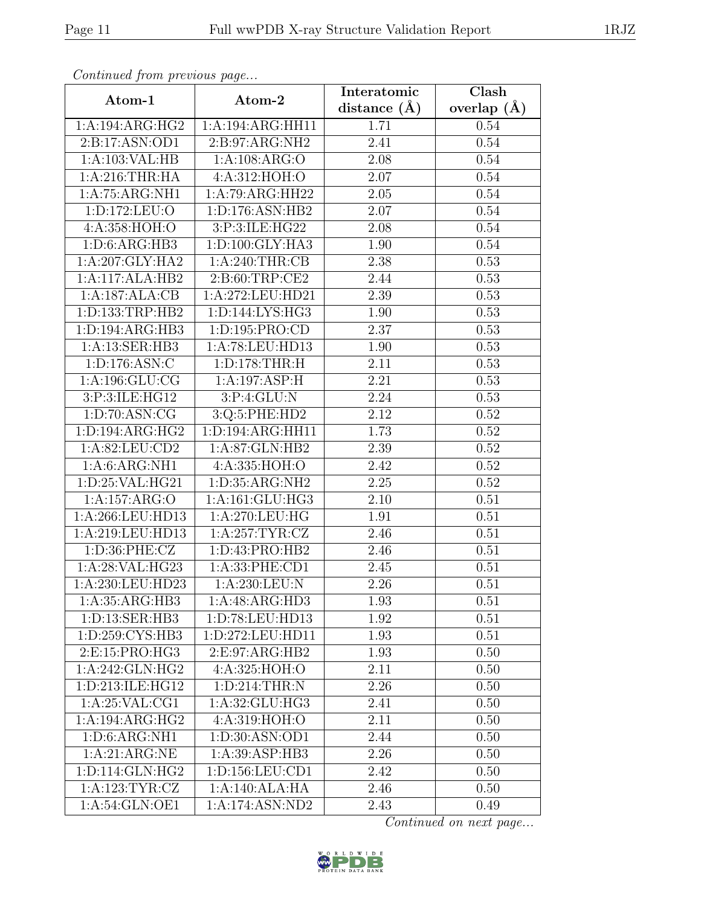| Continueu from pretious page |                                | Interatomic       | Clash         |  |
|------------------------------|--------------------------------|-------------------|---------------|--|
| Atom-1                       | Atom-2                         | distance $(A)$    | overlap $(A)$ |  |
| 1:A:194:ARG:HG2              | 1:A:194:ARG:HH11               | 1.71              | 0.54          |  |
| 2:B:17:ASN:OD1               | $2: B:97: ARG: \overline{NH2}$ | 2.41              | 0.54          |  |
| 1:A:103:VAL:HB               | 1:A:108:ARG:O                  | 2.08              | 0.54          |  |
| 1: A:216:THR:HA              | 4:A:312:HOH:O                  | 2.07              | 0.54          |  |
| 1:A:75:ARG:NH1               | 1:A:79:ARG:HH22                | 2.05              | 0.54          |  |
| 1: D: 172: LEU: O            | 1:D:176:ASN:HB2                | 2.07              | 0.54          |  |
| 4: A:358:HOH:O               | 3:P:3:ILE:HG22                 | 2.08              | 0.54          |  |
| 1: D:6: ARG:HB3              | 1: D: 100: GLY: HA3            | 1.90              | 0.54          |  |
| 1:A:207:GLY:HA2              | 1: A:240:THR:CB                | 2.38              | 0.53          |  |
| 1:A:117:ALA:HB2              | 2:B:60:TRP:CE2                 | 2.44              | 0.53          |  |
| 1:A:187:ALA:CB               | 1:A:272:LEU:HD21               | 2.39              | 0.53          |  |
| 1:D:133:TRP:HB2              | 1:D:144:LYS:HG3                | 1.90              | 0.53          |  |
| 1:D:194:ARG:HB3              | 1:D:195:PRO:CD                 | 2.37              | 0.53          |  |
| 1:A:13:SER:HB3               | 1:A:78:LEU:HD13                | 1.90              | 0.53          |  |
| 1:D:176:ASN:C                | 1: D: 178: THR:H               | 2.11              | 0.53          |  |
| 1: A: 196: GLU: CG           | 1:A:197:ASP:H                  | 2.21              | 0.53          |  |
| 3:P:3:ILE:HG12               | 3:P:4:GLU:N                    | 2.24              | 0.53          |  |
| 1: D:70: ASN: CG             | 3:Q:5:PHE:HD2                  | 2.12              | 0.52          |  |
| 1: D: 194: ARG: HG2          | 1:D:194:ARG:HH11               | 1.73              | 0.52          |  |
| 1: A:82:LEU:CD2              | 1:A:87:GLN:HB2                 | 2.39              | 0.52          |  |
| 1: A:6: ARG:NH1              | 4:A:335:HOH:O                  | 2.42              | 0.52          |  |
| 1:D:25:VAL:HG21              | 1:D:35:ARG:NH2                 | 2.25              | 0.52          |  |
| 1:A:157:ARG:O                | 1:A:161:GLU:HG3                | 2.10              | 0.51          |  |
| 1:A:266:LEU:HD13             | 1:A:270:LEU:HG                 | 1.91              | 0.51          |  |
| 1:A:219:LEU:HD13             | 1: A:257: TYR: CZ              | 2.46              | 0.51          |  |
| 1: D:36: PHE: CZ             | 1: D: 43: PRO: HB2             | $\overline{2}.46$ | 0.51          |  |
| 1:A:28:VAL:HG23              | 1:A:33:PHE:CD1                 | 2.45              | 0.51          |  |
| 1:A:230:LEU:HD23             | 1:A:230:LEU:N                  | 2.26              | 0.51          |  |
| 1:A:35:ARG:HB3               | 1:A:48:ARG:HD3                 | 1.93              | 0.51          |  |
| 1:D:13:SER:HB3               | 1:D:78:LEU:HD13                | 1.92              | 0.51          |  |
| 1: D: 259: CYS: HB3          | 1:D:272:LEU:HD11               | 1.93              | 0.51          |  |
| 2:E:15:PRO:HG3               | 2:E:97:ARG:HB2                 | 1.93              | 0.50          |  |
| $1:A:242:$ GLN:HG2           | 4:A:325:HOH:O                  | 2.11              | 0.50          |  |
| 1:D:213:ILE:HG12             | 1:D:214:THR:N                  | 2.26              | 0.50          |  |
| 1: A:25: VAL:CG1             | 1: A:32: GLU: HG3              | 2.41              | 0.50          |  |
| 1:A:194:ARG:HG2              | 4:A:319:HOH:O                  | 2.11              | 0.50          |  |
| 1: D:6: ARG:NH1              | 1:D:30:ASN:OD1                 | 2.44              | 0.50          |  |
| 1:A:21:ARG:NE                | 1:A:39:ASP:HB3                 | 2.26              | 0.50          |  |
| 1:D:114:GLN:HG2              | 1: D: 156: LEU: CD1            | 2.42              | 0.50          |  |
| 1: A: 123: TYR: CZ           | 1:A:140:ALA:HA                 | 2.46              | 0.50          |  |
| 1:A:54:GLN:OE1               | 1:A:174:ASN:ND2                | 2.43              | 0.49          |  |

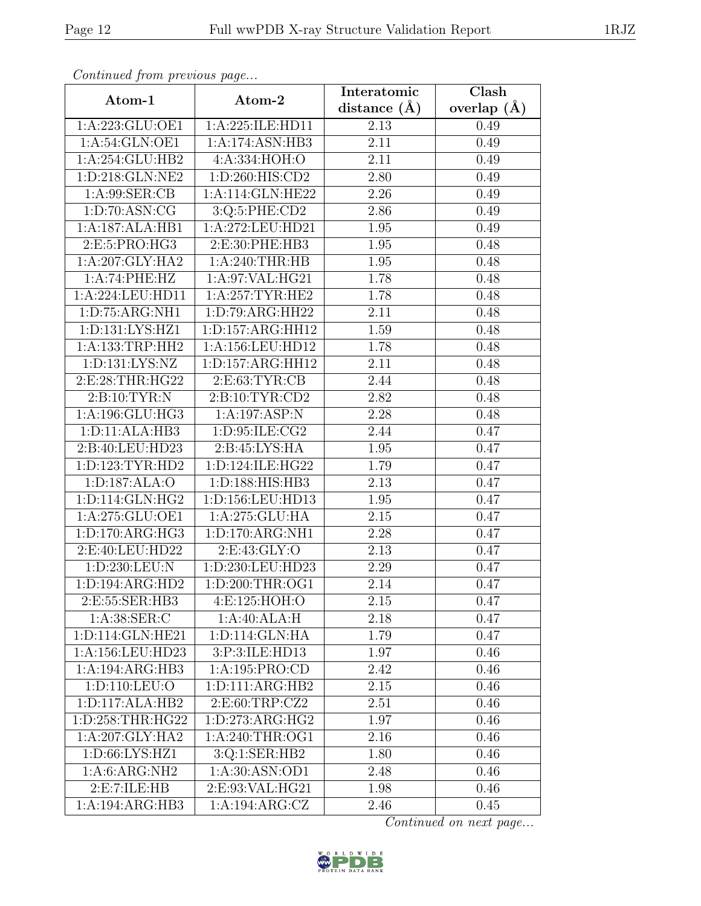| Continua from previous page  |                                       | Interatomic       | $\overline{\text{Clash}}$ |
|------------------------------|---------------------------------------|-------------------|---------------------------|
| Atom-1                       | Atom-2                                | distance $(\AA)$  | overlap $(A)$             |
| 1:A:223:GLU:OE1              | 1:A:225:ILE:HD11                      | 2.13              | 0.49                      |
| 1: A:54: GLN:OE1             | 1:A:174:ASN:HB3                       | 2.11              | 0.49                      |
| 1:A:254:GLU:HB2              | 4: A: 334: HOH: O                     | 2.11              | 0.49                      |
| 1:D:218:GLN:NE2              | 1:D:260:HIS:CD2                       | 2.80              | 0.49                      |
| 1: A:99: SER:CB              | 1:A:114:GLN:HE22                      | 2.26              | 0.49                      |
| 1: D:70: ASN: CG             | 3:Q:5:PHE:CD2                         | 2.86              | 0.49                      |
| 1:A:187:ALA:HB1              | 1:A:272:LEU:HD21                      | 1.95              | 0.49                      |
| 2:E:5:PRO:HG3                | 2:E:30:PHE:HB3                        | 1.95              | 0.48                      |
| 1:A:207:GLY:HA2              | 1: A:240:THR:HB                       | 1.95              | 0.48                      |
| 1:A:74:PHE:HZ                | 1:A:97:VAL:HG21                       | 1.78              | 0.48                      |
| 1:A:224:LEU:HD11             | 1: A:257:TYR:HE2                      | 1.78              | 0.48                      |
| 1:D:75:ARG:NH1               | 1:D:79:ARG:HH22                       | 2.11              | 0.48                      |
| 1:D:131:LYS:HZ1              | 1: D: 157: ARG: HH12                  | 1.59              | 0.48                      |
| 1: A: 133: TRP: HH2          | 1:A:156:LEU:HD12                      | 1.78              | 0.48                      |
| 1:D:131:LYS:NZ               | 1:D:157:ARG:HH12                      | 2.11              | 0.48                      |
| 2:E:28:THR:HG22              | 2: E: 63: TYR: CB                     | 2.44              | 0.48                      |
| 2:Bi:10:TYR:N                | 2: B: 10: TYR: CD2                    | 2.82              | 0.48                      |
| 1:A:196:GLU:HG3              | 1:A:197:ASP:N                         | 2.28              | 0.48                      |
| 1:D:11:ALA:HB3               | 1:D:95:ILE:CG2                        | 2.44              | 0.47                      |
| 2:B:40:LEU:HD23              | 2: B: 45: LYS: HA                     | 1.95              | 0.47                      |
| 1: D: 123: TYR: HD2          | 1:D:124:ILE:HG22                      | 1.79              | 0.47                      |
| 1:D:187:ALA:O                | 1: D: 188: HIS: HB3                   | 2.13              | 0.47                      |
| 1:D:114:GLN:HG2              | 1:D:156:LEU:HD13                      | 1.95              | 0.47                      |
| 1:A:275:GLU:OE1              | 1:A:275:GLU:HA                        | 2.15              | 0.47                      |
| 1: D: 170: ARG: HG3          | 1:D:170:ARG:NH1                       | 2.28              | 0.47                      |
| 2:E:40:LEU:HD22              | 2: E: 43: GLY: O                      | 2.13              | 0.47                      |
| 1: D: 230: LEU: N            | 1:D:230:LEU:HD23                      | 2.29              | 0.47                      |
| 1: D: 194: ARG: HD2          | $1: D:200: \overline{\text{THR}:OG1}$ | 2.14              | 0.47                      |
| 2:E:55:SER:HB3               | 4:E:125:HOH:O                         | 2.15              | 0.47                      |
| 1: A:38: SER:C               | 1:A:40:ALA:H                          | 2.18              | 0.47                      |
| 1:D:114:GLN:HE21             | 1:D:114:GLN:HA                        | 1.79              | 0.47                      |
| 1:A:156:LEU:HD23             | 3:P:3:ILE:HD13                        | 1.97              | 0.46                      |
| 1:A:194:ARG:HB3              | 1:A:195:PRO:CD                        | 2.42              | 0.46                      |
| 1:D:110:LEU:O                | 1:D:111:ARG:HB2                       | $2.\overline{15}$ | 0.46                      |
| 1: D: 117: ALA: HB2          | 2:E:60:TRP:CZ2                        | 2.51              | 0.46                      |
| 1:D:258:THR:HG22             | 1: D: 273: ARG: HG2                   | 1.97              | 0.46                      |
| 1:A:207:GLY:HA2              | 1: A:240:THR:OG1                      | 2.16              | 0.46                      |
| 1:D:66:LYS:HZ1               | 3:Q:1:SER:HB2                         | 1.80              | 0.46                      |
| 1: A:6: ARG:NH2              | 1:A:30:ASN:OD1                        | 2.48              | 0.46                      |
| 2: E: 7: ILE: HB             | 2:E:93:VAL:HG21                       | 1.98              | 0.46                      |
| $1:A:194:ARG:\overline{H}B3$ | 1:A:194:ARG:CZ                        | 2.46              | 0.45                      |

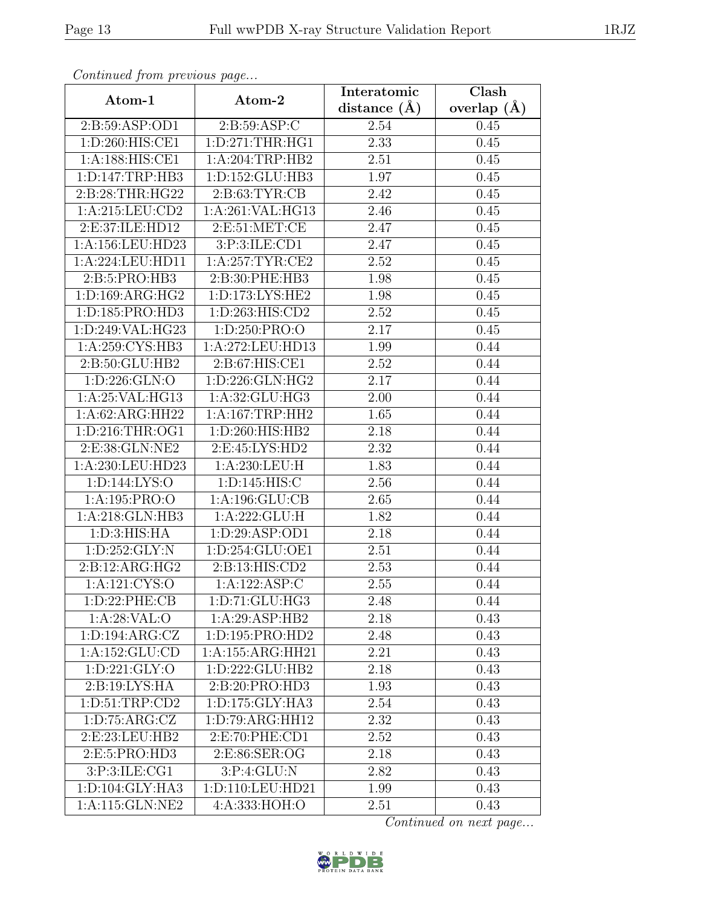| Continuum from protious page |                     | Interatomic      | Clash           |
|------------------------------|---------------------|------------------|-----------------|
| Atom-1                       | Atom-2              | distance $(\AA)$ | overlap $(\AA)$ |
| 2:B:59:ASP:OD1               | 2:B:59:ASP:C        | 2.54             | 0.45            |
| 1:D:260:HIS:CE1              | 1: D: 271: THR: HG1 | 2.33             | 0.45            |
| 1:A:188:HIS:CE1              | 1:A:204:TRP:HB2     | 2.51             | 0.45            |
| 1: D: 147: TRP: HB3          | 1:D:152:GLU:HB3     | 1.97             | 0.45            |
| 2:B:28:THR:HG22              | 2: B:63:TYR:CB      | 2.42             | 0.45            |
| 1: A:215:LEU:CD2             | 1:A:261:VAL:HG13    | 2.46             | 0.45            |
| 2:E:37:ILE:HD12              | 2:E:51:MET:CE       | 2.47             | 0.45            |
| 1:A:156:LEU:HD23             | 3:P:3:ILE:CD1       | 2.47             | 0.45            |
| 1:A:224:LEU:HD11             | 1: A:257:TYR:CE2    | 2.52             | 0.45            |
| 2:B:5:PRO:HB3                | 2:B:30:PHE:HB3      | 1.98             | 0.45            |
| 1: D: 169: ARG: HG2          | 1:D:173:LYS:HE2     | 1.98             | 0.45            |
| 1:D:185:PRO:HD3              | 1:D:263:HIS:CD2     | 2.52             | 0.45            |
| 1:D:249:VAL:HG23             | 1: D: 250: PRO:     | 2.17             | 0.45            |
| 1:A:259:CCYS:HB3             | 1:A:272:LEU:HD13    | 1.99             | 0.44            |
| 2:B:50:GLU:HB2               | 2:B:67:HIS:CE1      | 2.52             | 0.44            |
| 1: D: 226: GLN:O             | 1:D:226:GLN:HG2     | 2.17             | 0.44            |
| 1:A:25:VAL:HG13              | 1:A:32:GLU:HG3      | 2.00             | 0.44            |
| 1:A:62:ARG:HH22              | 1: A:167:TRP:HH2    | 1.65             | 0.44            |
| 1: D: 216: THR: OG1          | 1:D:260:HIS:HB2     | 2.18             | 0.44            |
| 2:E:38:GLN:NE2               | 2:E:45:LYS:HD2      | 2.32             | 0.44            |
| 1:A:230:LEU:HD23             | 1: A:230:LEU:H      | 1.83             | 0.44            |
| 1: D: 144: LYS: O            | 1: D: 145: HIS: C   | 2.56             | 0.44            |
| 1:A:195:PRO:O                | 1:A:196:GLU:CB      | 2.65             | 0.44            |
| 1:A:218:GLN:HB3              | 1:A:222:GLU:H       | 1.82             | 0.44            |
| 1: D:3: HIS: HA              | 1: D:29: ASP:OD1    | 2.18             | 0.44            |
| 1: D: 252: GLY:N             | 1:D:254:GLU:OE1     | 2.51             | 0.44            |
| 2: B: 12: ARG: HG2           | 2:B:13:HIS:CD2      | 2.53             | 0.44            |
| 1:A:121:CYS:O                | 1:A:122:ASP:C       | 2.55             | 0.44            |
| 1: D: 22: PHE: CB            | 1:D:71:GLU:HG3      | 2.48             | 0.44            |
| 1: A:28:VAL:O                | 1:A:29:ASP:HB2      | 2.18             | 0.43            |
| 1: D: 194: ARG: CZ           | 1:D:195:PRO:HD2     | 2.48             | 0.43            |
| 1:A:152:GLU:CD               | 1:A:155:ARG:HH21    | 2.21             | 0.43            |
| 1: D: 221: GLY:O             | 1:D:222:GLU:HB2     | 2.18             | 0.43            |
| 2:B:19:LYS:HA                | 2:B:20:PRO:HD3      | 1.93             | 0.43            |
| 1: D:51:TRP:CD2              | 1: D: 175: GLY: HA3 | 2.54             | 0.43            |
| 1: D: 75: ARG: CZ            | 1:D:79:ARG:HH12     | 2.32             | 0.43            |
| 2:E:23:LEU:HB2               | 2: E: 70: PHE: CD1  | 2.52             | 0.43            |
| 2:E:5:PRO:HD3                | 2:E:86:SER:OG       | 2.18             | 0.43            |
| 3:P:3:ILE:CG1                | 3: P: 4: GLU: N     | 2.82             | 0.43            |
| 1: D: 104: GLY: HA3          | 1:D:110:LEU:HD21    | 1.99             | 0.43            |
| 1:A:115:GLN:NE2              | 4:A:333:HOH:O       | 2.51             | 0.43            |

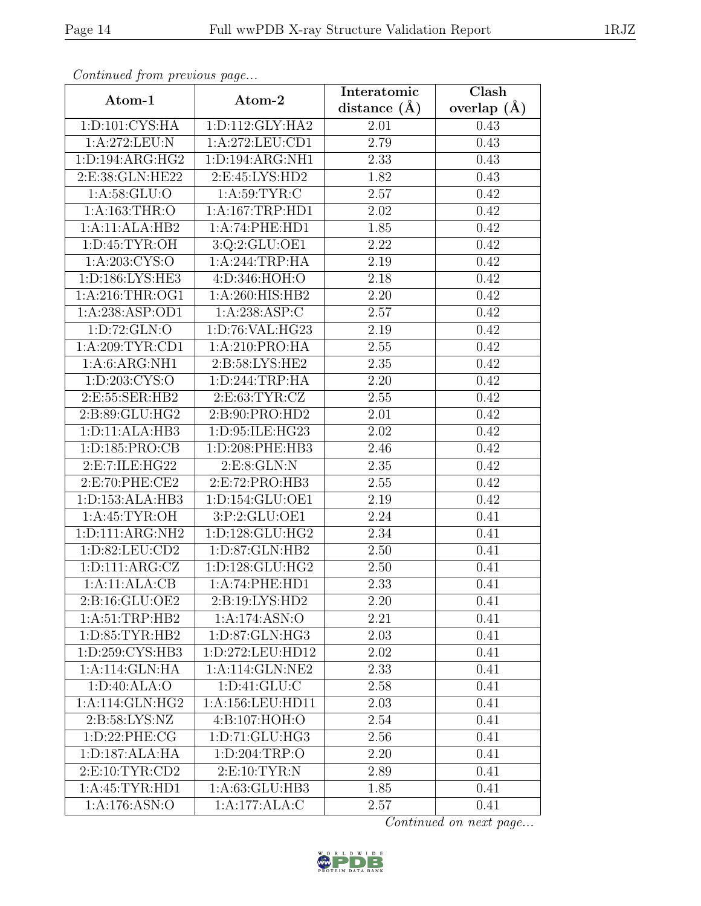| Continua from previous page |                                               | Interatomic      | Clash           |
|-----------------------------|-----------------------------------------------|------------------|-----------------|
| Atom-1                      | Atom-2                                        | distance $(\AA)$ | overlap $(\AA)$ |
| 1: D: 101: CYS: HA          | 1: D: 112: GLY: HA2                           | 2.01             | 0.43            |
| 1:A:272:LEU:N               | 1:A:272:LEU:CD1                               | 2.79             | 0.43            |
| 1: D: 194: ARG: HG2         | 1: D: 194: ARG: NH1                           | 2.33             | 0.43            |
| 2:E:38:GLN:HE22             | 2:E:45:LYS:HD2                                | 1.82             | 0.43            |
| 1: A:58: GLU:O              | 1: A:59: TYR: C                               | 2.57             | 0.42            |
| 1: A: 163: THR:O            | 1:A:167:TRP:HD1                               | 2.02             | 0.42            |
| 1:A:11:ALA:HB2              | 1:A:74:PHE:HD1                                | 1.85             | 0.42            |
| 1: D: 45: TYR: OH           | 3:Q:2:GLU:OE1                                 | 2.22             | 0.42            |
| 1: A:203: CYS:O             | 1:A:244:TRP:HA                                | 2.19             | 0.42            |
| 1:D:186:LYS:HE3             | 4:D:346:HOH:O                                 | 2.18             | 0.42            |
| 1: A:216:THR:OG1            | 1:A:260:HIS:HB2                               | 2.20             | 0.42            |
| 1:A:238:ASP:OD1             | 1: A:238: ASP:C                               | 2.57             | 0.42            |
| 1:D:72:GLN:O                | 1: D:76: VAL:HG23                             | 2.19             | 0.42            |
| 1: A:209:TYR:CD1            | 1:A:210:PRO:HA                                | 2.55             | 0.42            |
| 1: A:6: ARG:NH1             | 2: B:58: LYS: HE2                             | 2.35             | 0.42            |
| 1: D: 203: CYS:O            | 1: D:244:TRP:HA                               | 2.20             | 0.42            |
| 2:E:55:SER:HB2              | 2: E: 63: TYR: CZ                             | 2.55             | 0.42            |
| 2:B:89:GLU:HG2              | 2:B:90:PRO:HD2                                | 2.01             | 0.42            |
| 1:D:11:ALA:HB3              | 1:D:95:ILE:HG23                               | 2.02             | 0.42            |
| 1: D: 185: PRO: CB          | 1:D:208:PHE:HB3                               | 2.46             | 0.42            |
| 2:E:7:ILE:HG22              | 2:E:8:GLN:N                                   | 2.35             | 0.42            |
| 2:E:70:PHE:CE2              | 2: E: 72: PRO: HB3                            | 2.55             | 0.42            |
| 1: D: 153: ALA: HB3         | 1:D:154:GLU:OE1                               | 2.19             | 0.42            |
| 1: A:45: TYR:OH             | 3:P:2:GLU:OE1                                 | 2.24             | 0.41            |
| 1: D: 111: ARG: NH2         | 1: D: 128: GLU: HG2                           | 2.34             | 0.41            |
| 1:D:82:LEU:CD2              | 1: D:87: GLN:HB2                              | 2.50             | 0.41            |
| 1: D: 111: ARG: CZ          | 1:D:128:GLU:HG2                               | 2.50             | 0.41            |
| 1:A:11:ALA:CB               | 1: A:74:PHE:HD1                               | 2.33             | 0.41            |
| 2:B:16:GLU:OE2              | 2:B:19:LYS:HD2                                | 2.20             | 0.41            |
| 1: A:51:TRP:HB2             | 1:A:174:ASN:O                                 | 2.21             | 0.41            |
| 1: D:85: TYR:HB2            | 1:D:87:GLN:HG3                                | 2.03             | 0.41            |
| 1:D:259:CYS:HB3             | 1:D:272:LEU:HD12                              | 2.02             | 0.41            |
| 1:A:114:GLN:HA              | $1:A:114:GLN:N\overline{E2}$                  | 2.33             | 0.41            |
| 1:D:40:ALA:O                | 1: D: 41: GLU: C                              | 2.58             | 0.41            |
| 1: A:114: GLN: HG2          | 1:A:156:LEU:HD11                              | 2.03             | 0.41            |
| 2:B:58:LYS:NZ               | 4:B:107:HOH:O                                 | 2.54             | 0.41            |
| 1: D: 22: PHE: CG           | 1:D:71:GLU:HG3                                | 2.56             | 0.41            |
| 1:D:187:ALA:HA              | 1:D:204:TRP:O                                 | 2.20             | 0.41            |
| 2: E:10: TYR: CD2           | 2: E:10: TYR: N                               | 2.89             | 0.41            |
| 1:A:45:TYR:HD1              | $1:A:63:G\overline{\mathrm{LU}:\mathrm{HB}3}$ | 1.85             | 0.41            |
| 1:A:176:ASN:O               | 1:A:177:ALA:C                                 | 2.57             | 0.41            |

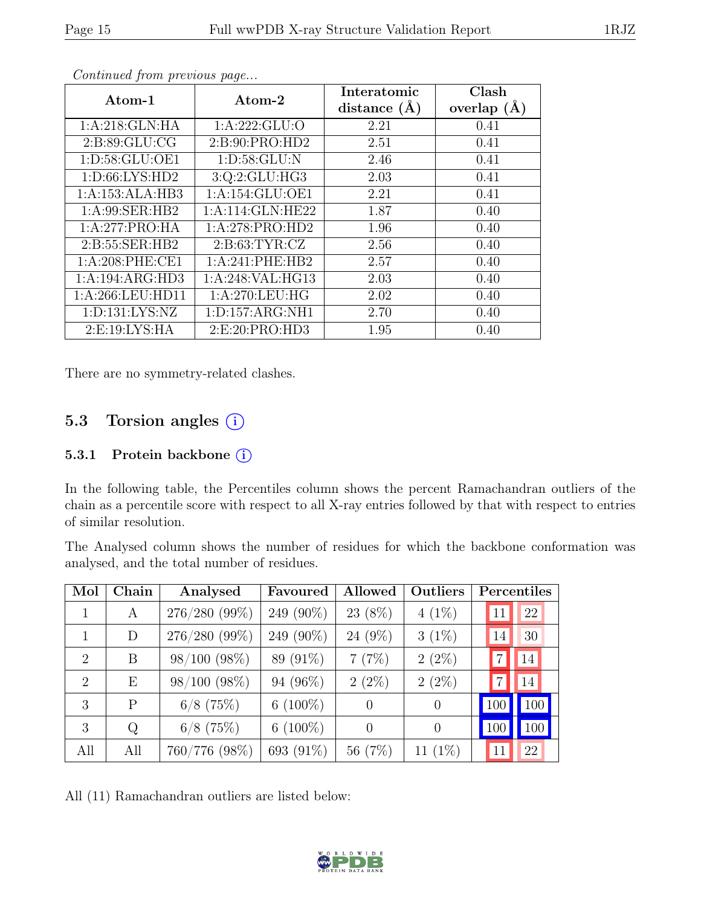| Atom-1             | Atom-2              | Interatomic<br>distance $(A)$ | Clash<br>overlap $(\AA)$ |
|--------------------|---------------------|-------------------------------|--------------------------|
| 1:A:218:GLN:HA     | 1:A:222:GLU:O       | 2.21                          | 0.41                     |
| 2:B:89:GLU:CG      | 2: B:90: PRO:HD2    | 2.51                          | 0.41                     |
| 1: D: 58: GLU: OE1 | 1: D:58: GLU: N     | 2.46                          | 0.41                     |
| 1: D:66: LYS:HD2   | 3:Q:2:GLU:HG3       | 2.03                          | 0.41                     |
| 1:A:153:ALA:HB3    | 1:A:154:GLU:OE1     | 2.21                          | 0.41                     |
| 1:A:99:SER:HB2     | 1:A:114:GLN:HE22    | 1.87                          | 0.40                     |
| 1:A:277:PRO:HA     | 1:A:278:PRO:HD2     | 1.96                          | 0.40                     |
| 2:B:55:SER:HB2     | 2: B: 63: TYR: CZ   | 2.56                          | 0.40                     |
| 1: A:208: PHE:CE1  | 1:A:241:PHE:HB2     | 2.57                          | 0.40                     |
| 1:A:194:ARG:HD3    | 1:A:248:VAL:HG13    | 2.03                          | 0.40                     |
| 1:A:266:LEU:HD11   | 1: A:270:LEU:HG     | 2.02                          | 0.40                     |
| 1: D: 131: LYS: NZ | 1: D: 157: ARG: NH1 | 2.70                          | 0.40                     |
| 2: E: 19: LYS: HA  | 2: E:20: PRO:HD3    | 1.95                          | 0.40                     |

There are no symmetry-related clashes.

## 5.3 Torsion angles  $(i)$

#### 5.3.1 Protein backbone (i)

In the following table, the Percentiles column shows the percent Ramachandran outliers of the chain as a percentile score with respect to all X-ray entries followed by that with respect to entries of similar resolution.

The Analysed column shows the number of residues for which the backbone conformation was analysed, and the total number of residues.

| Mol                         | ${\rm Chain}$ | Analysed          | Favoured    | Allowed  | Outliers   | Percentiles    |     |
|-----------------------------|---------------|-------------------|-------------|----------|------------|----------------|-----|
| 1                           | A             | 276/280 (99%)     | 249 (90%)   | 23 (8%)  | $4(1\%)$   | 11             | 22  |
|                             | D             | 276/280 (99%)     | 249 (90%)   | 24 (9%)  | $3(1\%)$   | 14             | 30  |
| $\overline{2}$              | B             | $98/100$ $(98\%)$ | 89 (91%)    | 7(7%)    | $2(2\%)$   | $\overline{7}$ | 14  |
| $\mathcal{D}_{\mathcal{A}}$ | E             | 98/100 (98%)      | 94 (96%)    | $2(2\%)$ | $2(2\%)$   | $\overline{7}$ | 14  |
| 3                           | P             | $6/8$ (75%)       | 6 $(100\%)$ | $\theta$ | $\theta$   | 100            | 100 |
| 3                           | Q             | $6/8$ (75%)       | 6 $(100\%)$ | $\Omega$ | $\Omega$   | 100            | 100 |
| All                         | All           | 760/776 (98%)     | 693 (91%)   | 56 (7%)  | 11 $(1\%)$ | 11             | 22  |

All (11) Ramachandran outliers are listed below:

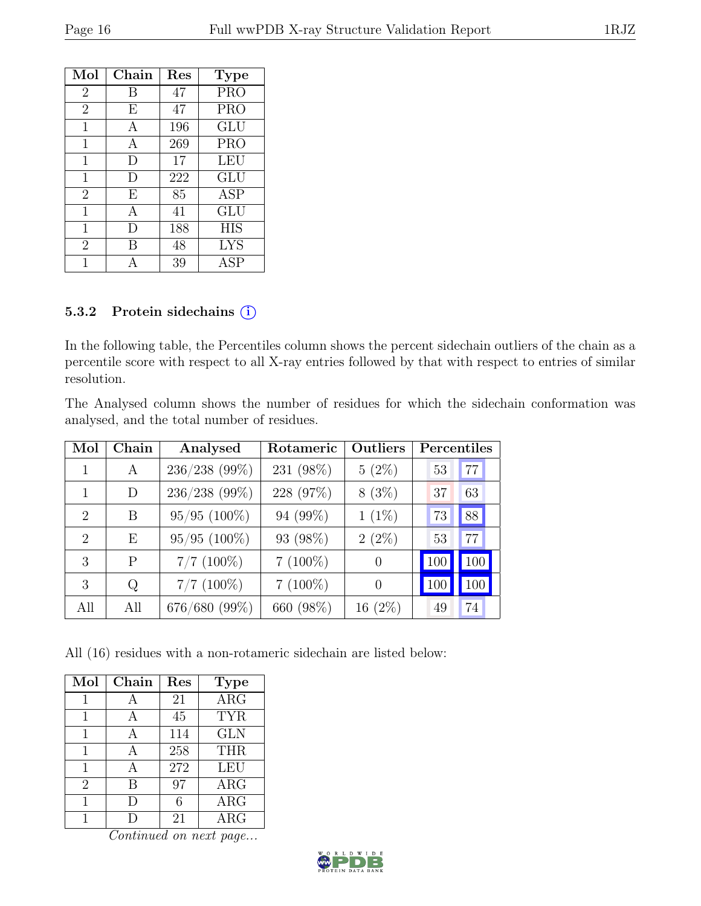| Mol            | $Chain$        | Res | <b>Type</b> |
|----------------|----------------|-----|-------------|
| $\overline{2}$ | В              | 47  | <b>PRO</b>  |
| $\overline{2}$ | E              | 47  | <b>PRO</b>  |
| 1              | A              | 196 | <b>GLU</b>  |
| 1              | А              | 269 | <b>PRO</b>  |
| 1              | D              | 17  | LEU         |
| 1              | D              | 222 | GLU         |
| $\overline{2}$ | E              | 85  | <b>ASP</b>  |
| 1              | $\overline{A}$ | 41  | <b>GLU</b>  |
| 1              | D              | 188 | <b>HIS</b>  |
| $\overline{2}$ | B              | 48  | <b>LYS</b>  |
|                |                | 39  | <b>ASP</b>  |

#### 5.3.2 Protein sidechains (i)

In the following table, the Percentiles column shows the percent sidechain outliers of the chain as a percentile score with respect to all X-ray entries followed by that with respect to entries of similar resolution.

The Analysed column shows the number of residues for which the sidechain conformation was analysed, and the total number of residues.

| Mol                         | Chain | Analysed       | Rotameric  | Outliers  | Percentiles |     |
|-----------------------------|-------|----------------|------------|-----------|-------------|-----|
|                             | A     | 236/238 (99%)  | 231 (98%)  | $5(2\%)$  | 53          | 77  |
|                             | D     | 236/238 (99%)  | 228 (97%)  | $8(3\%)$  | 37          | 63  |
| $\mathcal{D}_{\mathcal{L}}$ | B     | $95/95$ (100%) | 94 (99%)   | $1(1\%)$  | 73          | 88  |
| $\mathcal{D}$               | Ε     | $95/95$ (100%) | 93 (98%)   | $2(2\%)$  | 53          | 77  |
| 3                           | P     | $7/7$ (100%)   | $7(100\%)$ | $\Omega$  | 100         | 100 |
| 3                           | Q     | $7/7$ (100%)   | $7(100\%)$ | $\theta$  | 100         |     |
| All                         | All   | 676/680 (99%)  | 660 (98%)  | $16(2\%)$ | 49          | 74  |

All (16) residues with a non-rotameric sidechain are listed below:

| Mol            | Chain | Res | <b>Type</b> |
|----------------|-------|-----|-------------|
| 1              | А     | 21  | $\rm{ARG}$  |
| 1              | А     | 45  | <b>TYR</b>  |
| 1              | А     | 114 | <b>GLN</b>  |
| 1              |       | 258 | <b>THR</b>  |
| 1              | А     | 272 | LEU         |
| $\overline{2}$ | B     | 97  | $\rm{ARG}$  |
| 1              | D     | 6   | ARG         |
|                |       | 21  | $\rm{ARG}$  |

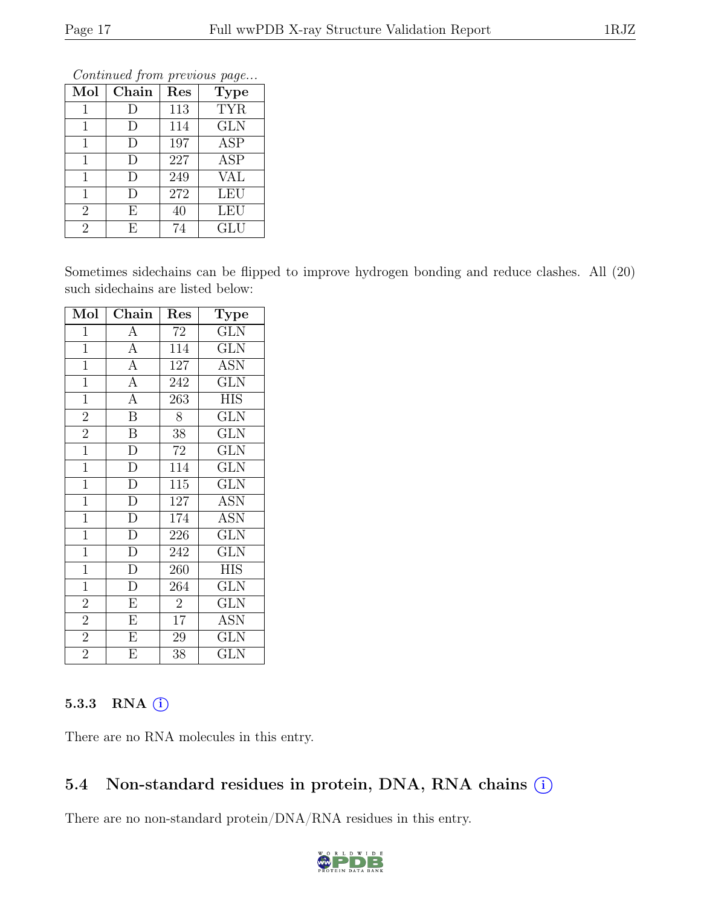| Mol            | Chain | Res | Contentaca from previous page<br><b>Type</b> |
|----------------|-------|-----|----------------------------------------------|
| 1              | I)    | 113 | <b>TYR</b>                                   |
| 1              | D     | 114 | <b>GLN</b>                                   |
| 1              | D     | 197 | $\overline{\text{ASP}}$                      |
| 1              | D     | 227 | <b>ASP</b>                                   |
| 1              | D     | 249 | <b>VAL</b>                                   |
| 1              | D     | 272 | <b>LEU</b>                                   |
| $\overline{2}$ | E     | 40  | LEU                                          |
| $\overline{2}$ | E     | 74  | GLU                                          |

Sometimes sidechains can be flipped to improve hydrogen bonding and reduce clashes. All (20) such sidechains are listed below:

| Mol            | Chain                    | Res             | Type                    |
|----------------|--------------------------|-----------------|-------------------------|
| $\mathbf{1}$   | $\overline{A}$           | 72              | <b>GLN</b>              |
| $\overline{1}$ | $\overline{A}$           | 114             | <b>GLN</b>              |
| $\overline{1}$ | $\overline{A}$           | 127             | <b>ASN</b>              |
| $\overline{1}$ | $\overline{A}$           | 242             | $\overline{\text{GLN}}$ |
| $\overline{1}$ | $\overline{A}$           | 263             | <b>HIS</b>              |
| $\overline{2}$ | $\overline{\mathbf{B}}$  | 8               | <b>GLN</b>              |
| $\overline{2}$ | $\overline{B}$           | 38              | <b>GLN</b>              |
| $\overline{1}$ | $\overline{D}$           | 72              | <b>GLN</b>              |
| $\overline{1}$ | $\overline{D}$           | 114             | $\overline{\text{GLN}}$ |
| $\overline{1}$ | $\overline{D}$           | 115             | <b>GLN</b>              |
| $\overline{1}$ | $\overline{D}$           | 127             | <b>ASN</b>              |
| $\overline{1}$ | $\overline{D}$           | 174             | <b>ASN</b>              |
| $\overline{1}$ | $\frac{1}{\overline{D}}$ | 226             | $\overline{\text{GLN}}$ |
| $\overline{1}$ | $\overline{D}$           | 242             | <b>GLN</b>              |
| $\overline{1}$ | $\overline{D}$           | 260             | <b>HIS</b>              |
| $\overline{1}$ | $\overline{D}$           | 264             | <b>GLN</b>              |
| $\overline{2}$ | $\overline{E}$           | $\overline{2}$  | <b>GLN</b>              |
| $\overline{2}$ | $\overline{E}$           | $\overline{17}$ | $\overline{\text{ASN}}$ |
| $\overline{2}$ | $\overline{E}$           | 29              | $\overline{\text{GLN}}$ |
| $\overline{2}$ | $\overline{\mathrm{E}}$  | 38              | GLN                     |

#### 5.3.3 RNA  $(i)$

There are no RNA molecules in this entry.

## 5.4 Non-standard residues in protein, DNA, RNA chains (i)

There are no non-standard protein/DNA/RNA residues in this entry.

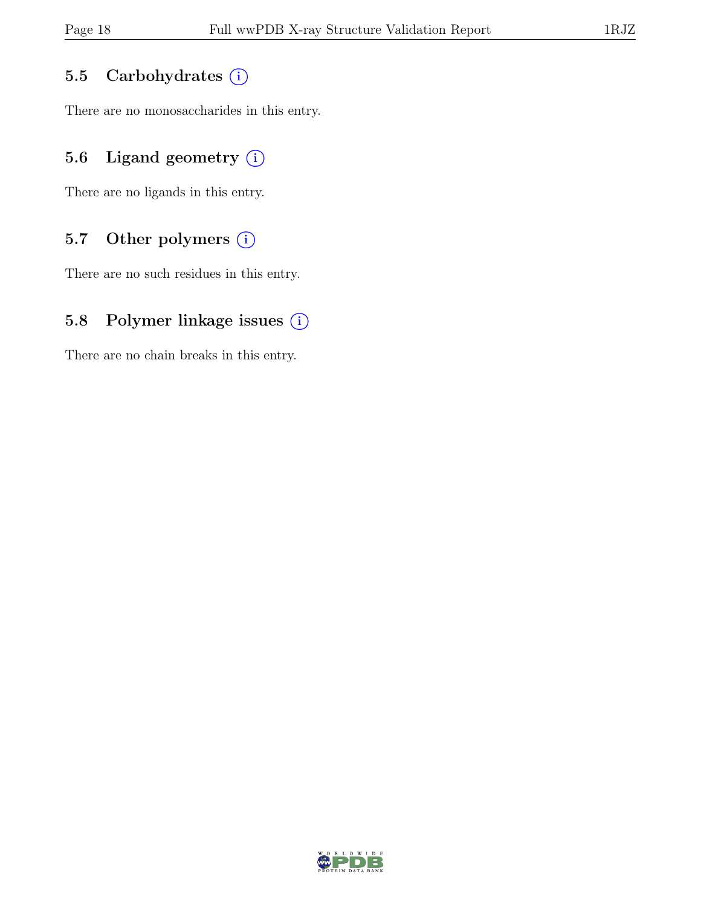#### 5.5 Carbohydrates (i)

There are no monosaccharides in this entry.

## 5.6 Ligand geometry  $(i)$

There are no ligands in this entry.

#### 5.7 Other polymers (i)

There are no such residues in this entry.

#### 5.8 Polymer linkage issues (i)

There are no chain breaks in this entry.